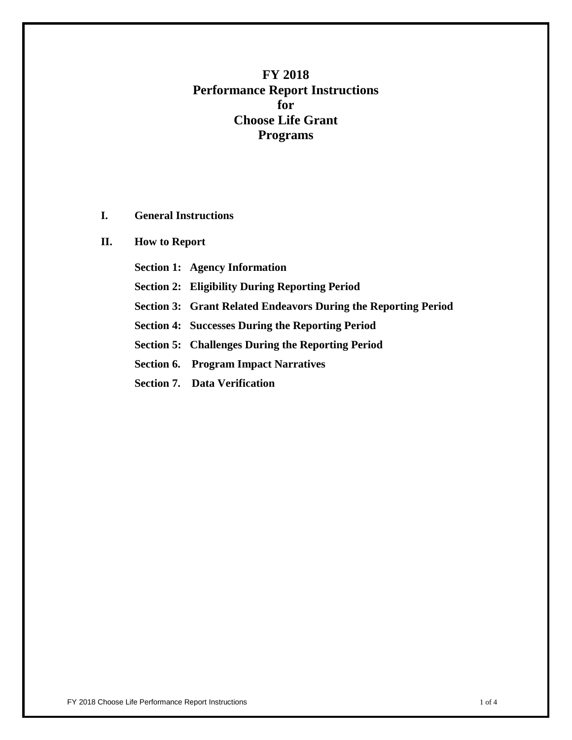# **FY 2018 Performance Report Instructions for Choose Life Grant Programs**

**I. General Instructions**

## **II. How to Report**

- **Section 1: Agency Information**
- **Section 2: Eligibility During Reporting Period**
- **Section 3: Grant Related Endeavors During the Reporting Period**
- **Section 4: Successes During the Reporting Period**
- **Section 5: Challenges During the Reporting Period**
- **Section 6. Program Impact Narratives**
- **Section 7. Data Verification**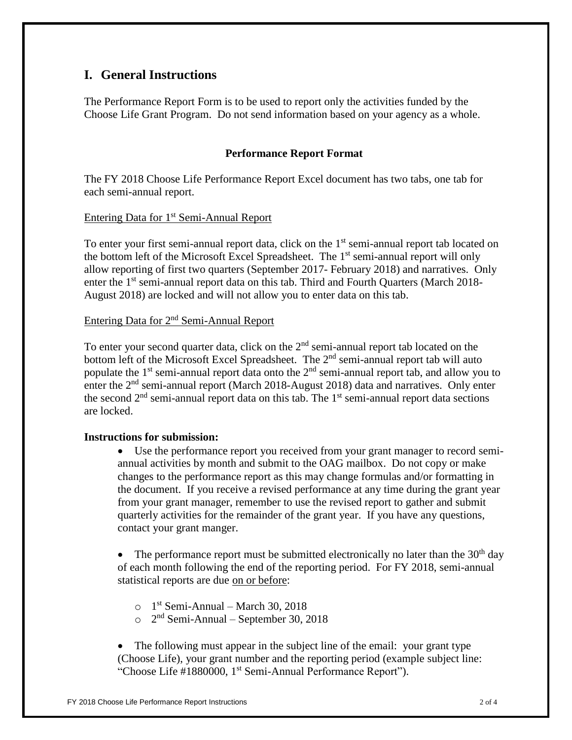## **I. General Instructions**

The Performance Report Form is to be used to report only the activities funded by the Choose Life Grant Program. Do not send information based on your agency as a whole.

## **Performance Report Format**

The FY 2018 Choose Life Performance Report Excel document has two tabs, one tab for each semi-annual report.

## Entering Data for 1<sup>st</sup> Semi-Annual Report

To enter your first semi-annual report data, click on the  $1<sup>st</sup>$  semi-annual report tab located on the bottom left of the Microsoft Excel Spreadsheet. The 1<sup>st</sup> semi-annual report will only allow reporting of first two quarters (September 2017- February 2018) and narratives. Only enter the 1<sup>st</sup> semi-annual report data on this tab. Third and Fourth Quarters (March 2018-August 2018) are locked and will not allow you to enter data on this tab.

## Entering Data for 2nd Semi-Annual Report

To enter your second quarter data, click on the  $2<sup>nd</sup>$  semi-annual report tab located on the bottom left of the Microsoft Excel Spreadsheet. The  $2<sup>nd</sup>$  semi-annual report tab will auto populate the 1<sup>st</sup> semi-annual report data onto the 2<sup>nd</sup> semi-annual report tab, and allow you to enter the 2<sup>nd</sup> semi-annual report (March 2018-August 2018) data and narratives. Only enter the second  $2<sup>nd</sup>$  semi-annual report data on this tab. The  $1<sup>st</sup>$  semi-annual report data sections are locked.

## **Instructions for submission:**

• Use the performance report you received from your grant manager to record semiannual activities by month and submit to the OAG mailbox. Do not copy or make changes to the performance report as this may change formulas and/or formatting in the document. If you receive a revised performance at any time during the grant year from your grant manager, remember to use the revised report to gather and submit quarterly activities for the remainder of the grant year. If you have any questions, contact your grant manger.

The performance report must be submitted electronically no later than the  $30<sup>th</sup>$  day of each month following the end of the reporting period. For FY 2018, semi-annual statistical reports are due on or before:

- $\circ$  1<sup>st</sup> Semi-Annual March 30, 2018
- $\degree$  2<sup>nd</sup> Semi-Annual September 30, 2018

The following must appear in the subject line of the email: your grant type (Choose Life), your grant number and the reporting period (example subject line: "Choose Life #1880000, 1<sup>st</sup> Semi-Annual Performance Report").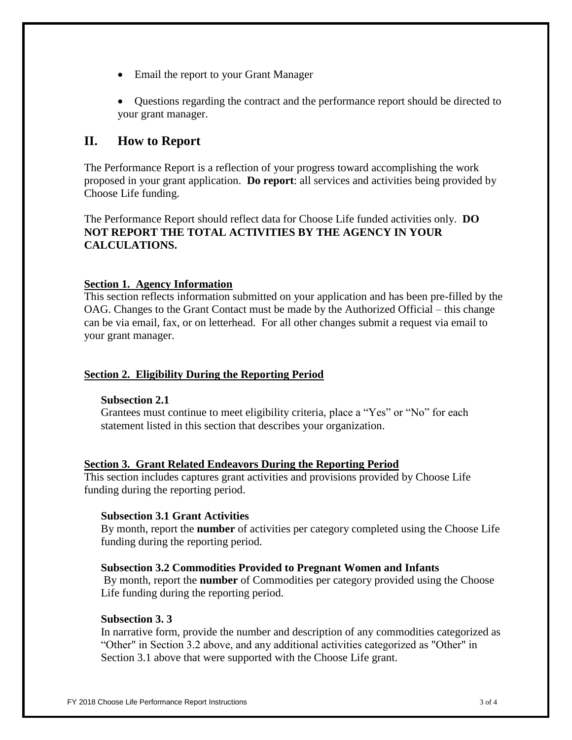- Email the report to your Grant Manager
- Questions regarding the contract and the performance report should be directed to your grant manager.

## **II. How to Report**

The Performance Report is a reflection of your progress toward accomplishing the work proposed in your grant application. **Do report**: all services and activities being provided by Choose Life funding.

The Performance Report should reflect data for Choose Life funded activities only. **DO NOT REPORT THE TOTAL ACTIVITIES BY THE AGENCY IN YOUR CALCULATIONS.** 

#### **Section 1. Agency Information**

This section reflects information submitted on your application and has been pre-filled by the OAG. Changes to the Grant Contact must be made by the Authorized Official – this change can be via email, fax, or on letterhead. For all other changes submit a request via email to your grant manager.

## **Section 2. Eligibility During the Reporting Period**

#### **Subsection 2.1**

Grantees must continue to meet eligibility criteria, place a "Yes" or "No" for each statement listed in this section that describes your organization.

#### **Section 3. Grant Related Endeavors During the Reporting Period**

This section includes captures grant activities and provisions provided by Choose Life funding during the reporting period.

#### **Subsection 3.1 Grant Activities**

By month, report the **number** of activities per category completed using the Choose Life funding during the reporting period.

#### **Subsection 3.2 Commodities Provided to Pregnant Women and Infants**

By month, report the **number** of Commodities per category provided using the Choose Life funding during the reporting period.

#### **Subsection 3. 3**

In narrative form, provide the number and description of any commodities categorized as "Other" in Section 3.2 above, and any additional activities categorized as "Other" in Section 3.1 above that were supported with the Choose Life grant.